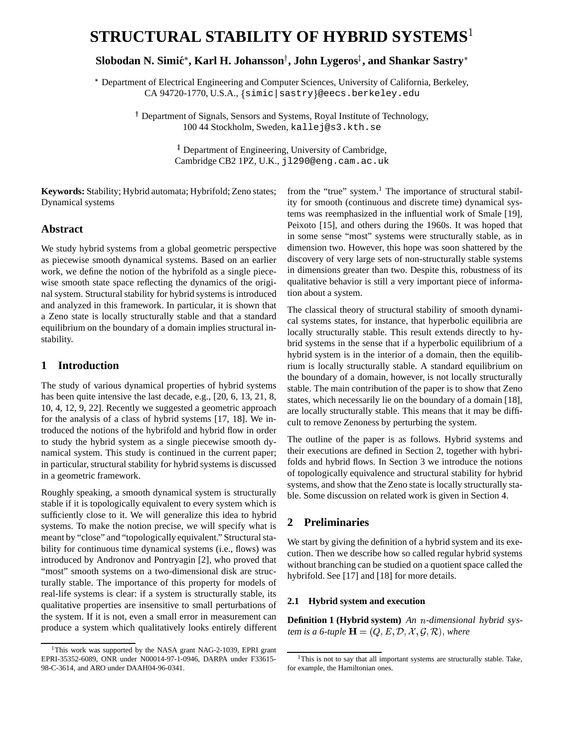# **STRUCTURAL STABILITY OF HYBRID SYSTEMS**

# ${\bf Slobodan\ N.\ Simić^*, Karl\ H.\ Johansson^{\dagger}, John Lygeros^{\ddagger}, and Shankar Sastry^*}$

 Department of Electrical Engineering and Computer Sciences, University of California, Berkeley, CA 94720-1770, U.S.A., {simic|sastry}@eecs.berkeley.edu

> Department of Signals, Sensors and Systems, Royal Institute of Technology, 100 44 Stockholm, Sweden, kallej@s3.kth.se

> > <sup>‡</sup> Department of Engineering, University of Cambridge, Cambridge CB2 1PZ, U.K., jl290@eng.cam.ac.uk

**Keywords:** Stability; Hybrid automata; Hybrifold; Zeno states; Dynamical systems

# **Abstract**

We study hybrid systems from a global geometric perspective as piecewise smooth dynamical systems. Based on an earlier work, we define the notion of the hybrifold as a single piecewise smooth state space reflecting the dynamics of the original system. Structural stability for hybrid systems is introduced and analyzed in this framework. In particular, it is shown that a Zeno state is locally structurally stable and that a standard equilibrium on the boundary of a domain implies structural instability.

# **1 Introduction**

The study of various dynamical properties of hybrid systems has been quite intensive the last decade, e.g., [20, 6, 13, 21, 8, 10, 4, 12, 9, 22]. Recently we suggested a geometric approach for the analysis of a class of hybrid systems [17, 18]. We introduced the notions of the hybrifold and hybrid flow in order to study the hybrid system as a single piecewise smooth dynamical system. This study is continued in the current paper; in particular, structural stability for hybrid systems is discussed in a geometric framework.

Roughly speaking, a smooth dynamical system is structurally stable if it is topologically equivalent to every system which is sufficiently close to it. We will generalize this idea to hybrid systems. To make the notion precise, we will specify what is meant by "close" and "topologically equivalent." Structural stability for continuous time dynamical systems (i.e., flows) was introduced by Andronov and Pontryagin [2], who proved that "most" smooth systems on a two-dimensional disk are structurally stable. The importance of this property for models of real-life systems is clear: if a system is structurally stable, its qualitative properties are insensitive to small perturbations of the system. If it is not, even a small error in measurement can produce a system which qualitatively looks entirely different from the "true" system.<sup>1</sup> The importance of structural stability for smooth (continuous and discrete time) dynamical systems was reemphasized in the influential work of Smale [19], Peixoto [15], and others during the 1960s. It was hoped that in some sense "most" systems were structurally stable, as in dimension two. However, this hope was soon shattered by the discovery of very large sets of non-structurally stable systems in dimensions greater than two. Despite this, robustness of its qualitative behavior is still a very important piece of information about a system.

The classical theory of structural stability of smooth dynamical systems states, for instance, that hyperbolic equilibria are locally structurally stable. This result extends directly to hybrid systems in the sense that if a hyperbolic equilibrium of a hybrid system is in the interior of a domain, then the equilibrium is locally structurally stable. A standard equilibrium on the boundary of a domain, however, is not locally structurally stable. The main contribution of the paper is to show that Zeno states, which necessarily lie on the boundary of a domain [18], are locally structurally stable. This means that it may be difficult to remove Zenoness by perturbing the system.

The outline of the paper is as follows. Hybrid systems and their executions are defined in Section 2, together with hybrifolds and hybrid flows. In Section 3 we introduce the notions of topologically equivalence and structural stability for hybrid systems, and show that the Zeno state is locally structurally stable. Some discussion on related work is given in Section 4.

## **2 Preliminaries**

We start by giving the definition of a hybrid system and its execution. Then we describe how so called regular hybrid systems without branching can be studied on a quotient space called the hybrifold. See [17] and [18] for more details.

## **2.1 Hybrid system and execution**

**Definition 1 (Hybrid system)** *An n-dimensional hybrid sys*tem is a 6-tuple  $\mathbf{H} = (Q, E, \mathcal{D}, \mathcal{X}, \mathcal{G}, \mathcal{R})$ , where

<sup>&</sup>lt;sup>1</sup>This work was supported by the NASA grant NAG-2-1039, EPRI grant EPRI-35352-6089, ONR under N00014-97-1-0946, DARPA under F33615- 98-C-3614, and ARO under DAAH04-96-0341.

<sup>&</sup>lt;sup>1</sup>This is not to say that all important systems are structurally stable. Take, for example, the Hamiltonian ones.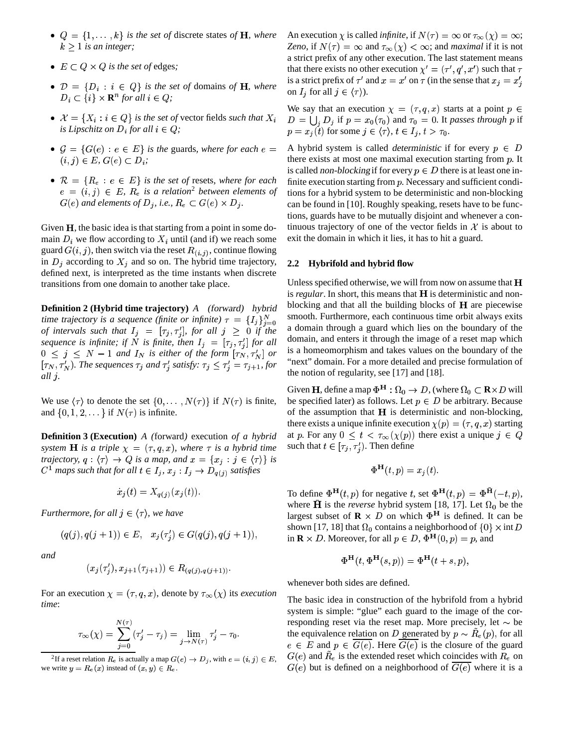- $Q = \{1, \ldots, k\}$  *is the set of* discrete states *of* **H**, where  $k \geq 1$  *is an integer;*
- $E \subset Q \times Q$  *is the set of* edges;
- $\mathcal{D} = \{D_i : i \in Q\}$  *is the set of* domains *of* **H**, where  $D_i \subset \{i\} \times \mathbf{R}^n$  for all  $i \in Q$ ;
- $\mathcal{X} = \{X_i : i \in Q\}$  *is the set of vector fields such that*  $X_i$   $L$ *is Lipschitz on*  $D_i$  *for all*  $i \in Q$ *;*
- $\bullet$   $\mathcal{G} = \{G(e) : e \in E\}$  *is the guards, where for each*  $e =$  A hybrid sy  $(i, j) \in E$ ,  $G(e) \subset D_i$ ;
- $\bullet$   $\mathcal{R} = \{R_e : e \in E\}$  is the set of resets, where for each  $e = (i, j) \in E$ ,  $R_e$  is a relation<sup>2</sup> between elements of  $G(e)$  *and elements of*  $D_i$ *, i.e.,*  $R_e \subset G(e) \times D_i$ *.*

Given  $H$ , the basic idea is that starting from a point in some domain  $D_i$  we flow according to  $X_i$  until (and if) we reach some guard  $G(i, j)$ , then switch via the reset  $R(i, j)$ , continue flowing in  $D_i$  according to  $X_i$  and so on. The hybrid time trajectory, defined next, is interpreted as the time instants when discrete transitions from one domain to another take place.

**Definition 2 (Hybrid time trajectory)** *A* (forward) hybrid time trajectory *is a sequence* (finite *or infinite*)  $\tau = \{I_j\}_{j=0}^N$ *of intervals such that*  $I_j = [\tau_j, \tau'_j]$ *, for all*  $j \geq 0$  *if the sequence is infinite; if* N *is finite, then*  $I_i = [\tau_i, \tau'_i]$  *for all*  $0 \leq j \leq N-1$  and  $I_N$  is either of the form  $[\tau_N, \tau'_N]$  or  $\int_{\tau_N}^{15}$  $[\tau_N, \tau'_N]$ . The sequences  $\tau_j$  and  $\tau'_j$  satisfy:  $\tau_j \leq \tau'_j = \tau_{j+1}$ , for *all* \$ *.*

We use  $\langle \tau \rangle$  to denote the set  $\{0, \ldots, N(\tau)\}\$ if  $N(\tau)$  is finite, and  $\{0, 1, 2, \dots\}$  if  $N(\tau)$  is infinite.

**Definition 3 (Execution)** *A (*forward*)* execution *of a hybrid system* **H** is a triple  $\chi = (\tau, q, x)$ , where  $\tau$  is a hybrid time *trajectory,*  $q: \langle \tau \rangle \to Q$  *is a map, and*  $x = \{x_i : j \in \langle \tau \rangle\}$  *is*  $C^1$  maps such that for all  $t \in I_j$ ,  $x_j : I_j \to D_{g(j)}$  satisfies

$$
\dot{x}_i(t) = X_{a(i)}(x_i(t)).
$$

*Furthermore, for all*  $j \in \langle \tau \rangle$ *, we have* 

$$
(q(j), q(j + 1)) \in E
$$
,  $x_j(\tau'_j) \in G(q(j), q(j + 1))$ ,

*and*

$$
(x_j(\tau'_j), x_{j+1}(\tau_{j+1})) \in R_{(q(j), q(j+1))}.
$$

For an execution  $\chi = (\tau, q, x)$ , denote by  $\tau_{\infty}(\chi)$  its *execution time*:

$$
\tau_{\infty}(\chi)=\sum_{j=0}^{N(\tau)}(\tau_j'-\tau_j)=\lim_{j\rightarrow N(\tau)}\tau_j'-\tau_0.
$$

An execution  $\chi$  is called *infinite*, if  $N(\tau) = \infty$  or  $\tau_{\infty}(\chi) = \infty$ ; Zeno, if  $N(\tau) = \infty$  and  $\tau_{\infty}(\chi) < \infty$ ; and *maximal* if it is not a strict prefix of any other execution. The last statement means that there exists no other execution  $\chi' = (\tau', q', x')$  such that  $\tau$ is a strict prefix of  $\tau'$  and  $x = x'$  on  $\tau$  (in the sense that  $x_j = x'_j$ on  $I_j$  for all  $j \in \langle \tau \rangle$ ).

We say that an execution  $\chi = (\tau, q, x)$  starts at a point  $p \in$  $D = \bigcup_i D_i$  if  $p = x_0(\tau_0)$  and  $\tau_0 = 0$ . It *passes through*  $p$  if  $p = x_j(t)$  for some  $j \in \langle \tau \rangle, t \in I_j, t > \tau_0$ .

A hybrid system is called deterministic if for every  $p \in D$ there exists at most one maximal execution starting from p. It is called non-blocking if for every  $p \in D$  there is at least one infinite execution starting from  $p$ . Necessary and sufficient conditions for a hybrid system to be deterministic and non-blocking can be found in [10]. Roughly speaking, resets have to be functions, guards have to be mutually disjoint and whenever a continuous trajectory of one of the vector fields in  $\mathcal X$  is about to exit the domain in which it lies, it has to hit a guard.

## **2.2 Hybrifold and hybrid flow**

 $\frac{1}{2}$   $\frac{1}{2}$   $\frac{1}{2}$   $\frac{1}{2}$   $\frac{1}{2}$   $\frac{1}{2}$   $\frac{1}{2}$   $\frac{1}{2}$   $\frac{1}{2}$   $\frac{1}{2}$   $\frac{1}{2}$   $\frac{1}{2}$   $\frac{1}{2}$   $\frac{1}{2}$   $\frac{1}{2}$   $\frac{1}{2}$   $\frac{1}{2}$   $\frac{1}{2}$   $\frac{1}{2}$   $\frac{1}{2}$   $\frac{1}{2}$   $\frac{1}{2}$  Unless specified otherwise, we will from now on assume that  $H$ is *regular*. In short, this means that H is deterministic and nonblocking and that all the building blocks of  $H$  are piecewise smooth. Furthermore, each continuous time orbit always exits a domain through a guard which lies on the boundary of the domain, and enters it through the image of a reset map which is a homeomorphism and takes values on the boundary of the the notion of regularity, see [17] and [18].

> Given **H**, define a map  $\Phi^{\mathbf{H}} : \Omega_0 \to D$ , (where  $\Omega_0 \subset \mathbf{R} \times D$  will be specified later) as follows. Let  $p \in D$  be arbitrary. Because of the assumption that  $H$  is deterministic and non-blocking, there exists a unique infinite execution  $\chi(p) = (\tau, q, x)$  starting at p. For any  $0 \leq t < \tau_{\infty}(\chi(p))$  there exist a unique  $j \in Q$ such that  $t \in [\tau_j, \tau'_j)$ . Then define

$$
\Phi^{\mathbf{H}}(t,p) = x_j(t).
$$

To define  $\Phi^{\mathbf{H}}(t, p)$  for negative t, set  $\Phi^{\mathbf{H}}(t, p) = \Phi^{\bar{\mathbf{H}}}(-t, p)$ , where **H** is the *reverse* hybrid system [18, 17]. Let  $\Omega_0$  be the largest subset of  $\mathbf{R} \times D$  on which  $\Phi^H$  is defined. It can be shown [17, 18] that  $\Omega_0$  contains a neighborhood of  $\{0\} \times \text{int } D$ in  $\mathbf{R} \times D$ . Moreover, for all  $p \in D$ ,  $\Phi^{\mathbf{H}}(0, p) = p$ , and

$$
\Phi^{\mathbf{H}}(t,\Phi^{\mathbf{H}}(s,p))=\Phi^{\mathbf{H}}(t+s,p),
$$

whenever both sides are defined.

The basic idea in construction of the hybrifold from a hybrid system is simple: "glue" each guard to the image of the corresponding reset via the reset map. More precisely, let  $\sim$  be the equivalence relation on D generated by  $p \sim \tilde{R}_e(p)$ , for all  $e \in E$  and  $p \in G(e)$ . Here  $G(e)$  is the closure of the guard  $G(e)$  and  $R_e$  is the extended reset which coincides with  $R_e$  on  $G(e)$  but is defined on a neighborhood of  $G(e)$  where it is a

<sup>&</sup>lt;sup>2</sup>If a reset relation  $R_e$  is actually a map  $G(e) \rightarrow D_j$ , with  $e = (i, j) \in E$ , we write  $y = R_{e}(x)$  instead of  $(x, y) \in R_{e}$ .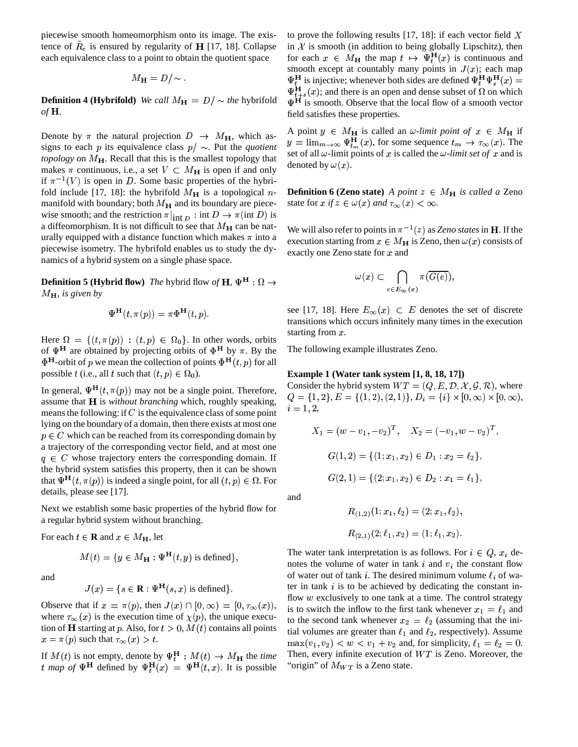piecewise smooth homeomorphism onto its image. The existence of  $R_e$  is ensured by regularity of **H** [17, 18]. Collapse each equivalence class to a point to obtain the quotient space

$$
M_{\mathbf{H}}=D/\!\sim.
$$

**Definition 4 (Hybrifold)** We call  $M_{\mathbf{H}} = D / \sim$  the hybrifold *of .*

Denote by  $\pi$  the natural projection  $D \rightarrow M_{\rm H}$ , which assigns to each  $p$  its equivalence class  $p / \sim$ . Put the *quotient topology* on  $M_{\rm H}$ . Recall that this is the smallest topology that makes  $\pi$  continuous, i.e., a set  $V \subset M_H$  is open if and only if  $\pi^{-1}(V)$  is open in D. Some basic properties of the hybrifold include [17, 18]: the hybrifold  $M_{\rm H}$  is a topological *n*manifold with boundary; both  $M_{\rm H}$  and its boundary are piecewise smooth; and the restriction  $\pi|_{\text{int }D} : \text{int } D \to \pi(\text{int }D)$  is a diffeomorphism. It is not difficult to see that  $M_{\rm H}$  can be naturally equipped with a distance function which makes  $\pi$  into a piecewise isometry. The hybrifold enables us to study the dynamics of a hybrid system on a single phase space.

**Definition 5 (Hybrid flow)** The hybrid flow of **H**,  $\Psi^H : \Omega \to$  $M_{\mathbf{H}}$ *, is given by* 

$$
\Psi^{\mathbf{H}}(t,\pi(p)) = \pi \Phi^{\mathbf{H}}(t,p).
$$

Here  $\Omega = \{ (t, \pi(p)) : (t, p) \in \Omega_0 \}.$  In other words, orbits of  $\Psi^H$  are obtained by projecting orbits of  $\Phi^H$  by  $\pi$ . By the  $\Phi^{\mathbf{H}}$ -orbit of p we mean the collection of points  $\Phi^{\mathbf{H}}(t,p)$  for all possible t (i.e., all t such that  $(t, p) \in \Omega_0$ ).

In general,  $\Psi^{\mathbf{H}}(t, \pi(p))$  may not be a single point. Therefore, assume that H is *without branching* which, roughly speaking, means the following: if  $C$  is the equivalence class of some point lying on the boundary of a domain, then there exists at most one  $p \in C$  which can be reached from its corresponding domain by a trajectory of the corresponding vector field, and at most one  $q \in C$  whose trajectory enters the corresponding domain. If the hybrid system satisfies this property, then it can be shown that  $\Psi^{\mathbf{H}}(t, \pi(p))$  is indeed a single point, for all  $(t, p) \in \Omega$ . For details, please see [17].

Next we establish some basic properties of the hybrid flow for a regular hybrid system without branching.

For each  $t \in \mathbf{R}$  and  $x \in M_{\mathbf{H}}$ , let

$$
M(t) = \{ y \in M_{\mathbf{H}} : \Psi^{\mathbf{H}}(t, y) \text{ is defined} \},
$$

and

$$
J(x) = \{ s \in \mathbf{R} : \Psi^{\mathbf{H}}(s, x) \text{ is defined} \}.
$$

Observe that if  $x = \pi(p)$ , then  $J(x) \cap [0, \infty) = [0, \tau_{\infty}(x))$ , is to sw where  $\tau_{\infty}(x)$  is the execution time of  $\chi(p)$ , the unique execution of **H** starting at p. Also, for  $t > 0$ ,  $M(t)$  contains all points  $x = \pi(p)$  such that  $\tau_{\infty}(x) > t$ .

If  $M(t)$  is not empty, denote by  $\Psi_t^H : M(t) \to M_H$  the *time* Then, ev t map of  $\Psi^H$  defined by  $\Psi_t^H(x) = \Psi^H(t, x)$ . It is possible

to prove the following results  $[17, 18]$ : if each vector field X in  $X$  is smooth (in addition to being globally Lipschitz), then for each  $x \in M_H$  the map  $t \mapsto \Psi_t^H(x)$  is continuous and smooth except at countably many points in  $J(x)$ ; each map  $\Psi_t^H$  is injective; whenever both sides are defined  $\Psi_t^H \Psi_s^H(x) =$  $\Psi_{t+s}^{\mathbf{H}}(x)$ ; and there is an open and dense subset of  $\Omega$  on which  $\Psi^{\text{H}}$  is smooth. Observe that the local flow of a smooth vector field satisfies these properties.

A point  $y \in M_H$  is called an  $\omega$ -*limit point of*  $x \in M_H$  if  $y = \lim_{m \to \infty} \Psi_{t_m}^H(x)$ , for some sequence  $t_m \to \tau_\infty(x)$ . The set of all  $\omega$ -limit points of x is called the  $\omega$ -limit set of x and is denoted by  $\omega(x)$ .

**Definition 6 (Zeno state)** A point  $z \in M_H$  is called a Zeno state for  $x$  if  $z \in \omega(x)$  and  $\tau_{\infty}(x) < \infty$ .

We will also refer to points in  $\pi^{-1}(z)$  as *Zeno states* in **H**. If the execution starting from  $x \in M_H$  is Zeno, then  $\omega(x)$  consists of exactly one Zeno state for  $x$  and

$$
\omega(x)\subset \bigcap_{e\in E_\infty(x)}\pi(\overline{G(e)}),
$$

see [17, 18]. Here  $E_{\infty}(x) \subset E$  denotes the set of discrete transitions which occurs infinitely many times in the execution starting from  $x$ .

The following example illustrates Zeno.

#### **Example 1 (Water tank system [1, 8, 18, 17])**

Consider the hybrid system  $WT = (Q, E, \mathcal{D}, \mathcal{X}, \mathcal{G}, \mathcal{R})$ , where  $Q = \{1, 2\}, E = \{(1, 2), (2, 1)\}, D_i = \{i\} \times [0, \infty) \times [0, \infty),$  $i=1,2,$ 

$$
X_1 = (w - v_1, -v_2)^T, \quad X_2 = (-v_1, w - v_2)^T,
$$
  
\n
$$
G(1, 2) = \{(1; x_1, x_2) \in D_1 : x_2 = \ell_2\},
$$
  
\n
$$
G(2, 1) = \{(2; x_1, x_2) \in D_2 : x_1 = \ell_1\},
$$

and

$$
R_{(1,2)}(1; x_1, \ell_2) = (2; x_1, \ell_2),
$$
  

$$
R_{(2,1)}(2; \ell_1, x_2) = (1; \ell_1, x_2).
$$

The water tank interpretation is as follows. For  $i \in Q$ ,  $x_i$  denotes the volume of water in tank  $i$  and  $v_i$  the constant flow of water out of tank *i*. The desired minimum volume  $\ell_i$  of water in tank  $i$  is to be achieved by dedicating the constant inflow  $w$  exclusively to one tank at a time. The control strategy is to switch the inflow to the first tank whenever  $x_1 = \ell_1$  and to the second tank whenever  $x_2=\ell_2$  (assuming that the initial volumes are greater than  $\ell_1$  and  $\ell_2$ , respectively). Assume  $\max(v_1, v_2) < w < v_1 + v_2$  and, for simplicity,  $\ell_1 = \ell_2 = 0$ . Then, every infinite execution of  $WT$  is Zeno. Moreover, the "origin" of  $M_{WT}$  is a Zeno state.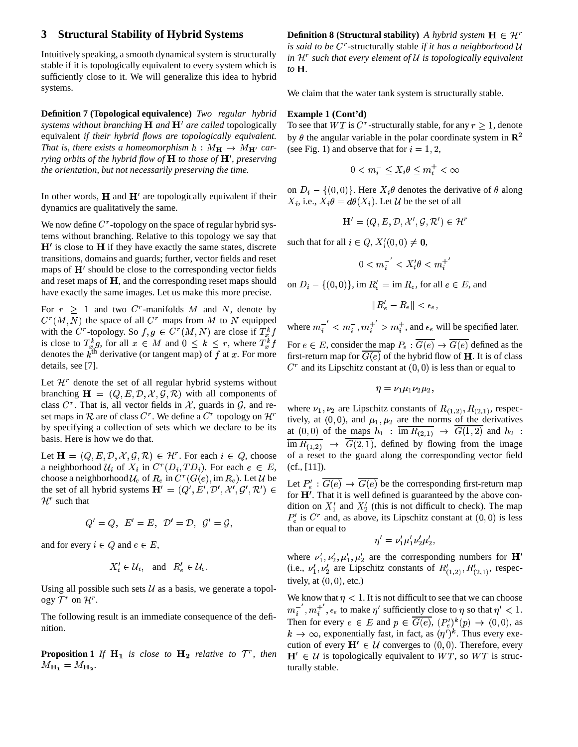## **3 Structural Stability of Hybrid Systems**

Intuitively speaking, a smooth dynamical system is structurally stable if it is topologically equivalent to every system which is sufficiently close to it. We will generalize this idea to hybrid systems.

**Definition 7 (Topological equivalence)** *Two regular hybrid systems* without branching **H** and **H'** are called topologically equivalent *if their hybrid flows are topologically equivalent. That is, there exists a homeomorphism*  $h : M_H \to M_{H'}$  *car-* (see Fig. 1) *rying orbits of the hybrid flow of* **H** *to those of* **H**<sup>*'*</sup>, *preserving the orientation, but not necessarily preserving the time.*

In other words,  $H$  and  $H'$  are topologically equivalent if their dynamics are qualitatively the same.

We now define  $C<sup>r</sup>$ -topology on the space of regular hybrid systems without branching. Relative to this topology we say that  $H'$  is close to  $H$  if they have exactly the same states, discrete transitions, domains and guards; further, vector fields and reset maps of  $H'$  should be close to the corresponding vector fields and reset maps of  $H$ , and the corresponding reset maps should have exactly the same images. Let us make this more precise.

For  $r \geq 1$  and two C<sup>r</sup>-manifolds M and N, denote by  $C^{r}(M, N)$  the space of all  $C^{r}$  maps from M to N equipped with the C<sup>r</sup>-topology. So  $f, g \in C^{r}(M, N)$  are close if  $T_x^k f$  where m is close to  $T^k_x g$ , for all  $x \in M$  and  $0 \leq k \leq r$ , where  $T_s$ denotes the  $k^{\text{th}}$  derivative (or tangent map) of f at x. For more details, see [7].

Let  $\mathcal{H}^r$  denote the set of all regular hybrid systems without branching  $\mathbf{H} = (Q, E, \mathcal{D}, \mathcal{X}, \mathcal{G}, \mathcal{R})$  with all components of class  $C^r$ . That is, all vector fields in  $\mathcal{X}$ , guards in  $\mathcal{G}$ , and reset maps in R are of class C<sup>r</sup>. We define a C<sup>r</sup> topology on  $\mathcal{H}^r$  tively at (0.1) by specifying a collection of sets which we declare to be its basis. Here is how we do that.

Let  $\mathbf{H} = (Q, E, \mathcal{D}, \mathcal{X}, \mathcal{G}, \mathcal{R}) \in \mathcal{H}^r$ . For each  $i \in Q$ , choose a neighborhood  $\mathcal{U}_i$  of  $X_i$  in  $C^r(D_i, TD_i)$ . For each  $e \in E$ , choose a neighborhood  $\mathcal{U}_e$  of  $R_e$  in  $C^r(G(e), \text{im } R_e)$ . Let  $\mathcal{U}$  be  $\overline{I}_{\text{tot}}$   $\overline{P'}$ the set of all hybrid systems  $\mathbf{H}' = (Q', E', \mathcal{D}', \mathcal{X}', \mathcal{G}', \mathcal{R}') \in \mathbb{R}^{n \times n}$  $\mathcal{H}^r$  such that

$$
Q'=Q,\ \ E'=E,\ \ {\cal D}'={\cal D},\ \ {\cal G}'={\cal G},
$$

and for every  $i \in Q$  and  $e \in E$ ,

$$
X'_i \in \mathcal{U}_i
$$
, and  $R'_e \in \mathcal{U}_e$ .

Using all possible such sets  $\mathcal U$  as a basis, we generate a topology  $\mathcal{T}^r$  on  $\mathcal{H}^r$ .

The following result is an immediate consequence of the definition.

**Proposition 1** If  $H_1$  is close to  $H_2$  relative to  $\mathcal{T}^r$ , then  $H' \in \mathcal{L}$  $M_{\mathbf{H_1}} = M_{\mathbf{H_2}}.$ 

**Definition 8 (Structural stability)** *A hybrid system*  $\mathbf{H} \in \mathcal{H}^r$ *is said to be*  $C^r$  -structurally stable *if it has a neighborhood*  $U$ *in such that every element of is topologically equivalent to .*

We claim that the water tank system is structurally stable.

## **Example 1 (Cont'd)**

To see that  $WT$  is  $C^r$ -structurally stable, for any  $r \geq 1$ , denote by  $\theta$  the angular variable in the polar coordinate system in  $\mathbb{R}^2$ (see Fig. 1) and observe that for  $i = 1, 2$ ,

$$
0
$$

on  $D_i - \{(0,0)\}\.$  Here  $X_i\theta$  denotes the derivative of  $\theta$  along  $X_i$ , i.e.,  $X_i \theta = d\theta(X_i)$ . Let U be the set of all

$$
\mathbf{H}'=(Q,E,\mathcal{D},\mathcal{X}',\mathcal{G},\mathcal{R}')\in\mathcal{H}^r
$$

such that for all  $i \in Q$ ,  $X_i'(0,0) \neq \mathbf{0}$ ,

$$
0
$$

on  $D_i - \{(0,0)\}\$ , im  $R'_e = \text{im } R_e$ , for all  $e \in E$ , and

$$
\|R'_e - R_e\| < \epsilon_e,
$$

where  $m_i^- < m_i^-, m_i^+ > m_i^+$ , and  $\epsilon_e$  will be specified later.

 $F_x^*f$  For  $e \in E$ , consider the map  $P_e: G(e) \to G(e)$  defined as the first-return map for  $G(e)$  of the hybrid flow of **H**. It is of class  $C<sup>r</sup>$  and its Lipschitz constant at  $(0, 0)$  is less than or equal to

$$
\eta=\nu_1\mu_1\nu_2\mu_2,
$$

where  $\nu_1, \nu_2$  are Lipschitz constants of  $R_{(1,2)}, R_{(2,1)}$ , respectively, at  $(0, 0)$ , and  $\mu_1, \mu_2$  are the norms of the derivatives at  $(0,0)$  of the maps  $h_1$ : im  $R_{(2,1)} \rightarrow G(1,2)$  and  $h_2$ :  $\lim R_{(1,2)} \to G(2,1)$ , defined by flowing from the image of a reset to the guard along the corresponding vector field  $(cf., [11]).$ 

Let  $P'_e : \overline{G(e)} \to \overline{G(e)}$  be the corresponding first-return map for  $H'$ . That it is well defined is guaranteed by the above condition on  $X'_1$  and  $X'_2$  (this is not difficult to check). The map  $P'_e$  is  $C^r$  and, as above, its Lipschitz constant at  $(0,0)$  is less than or equal to

$$
\eta' = \nu'_1 \mu'_1 \nu'_2 \mu'_2,
$$

where  $\nu'_1, \nu'_2, \mu'_1, \mu'_2$  are the corresponding numbers for **H**<sup>'</sup> (i.e.,  $\nu'_1, \nu'_2$  are Lipschitz constants of  $R'_{(1,2)}, R'_{(2,1)}$ , respectively, at  $(0, 0)$ , etc.)

We know that  $\eta < 1$ . It is not difficult to see that we can choose  $m_i^-, m_i^+, \epsilon_e$  to make  $\eta'$  sufficiently close to  $\eta$  so that  $\eta' < 1$ . Then for every  $e \in E$  and  $p \in G(e)$ ,  $(P'_e)^k(p) \to (0,0)$ , as  $k \to \infty$ , exponentially fast, in fact, as  $(\eta')^k$ . Thus every execution of every  $\mathbf{H}' \in \mathcal{U}$  converges to  $(0,0)$ . Therefore, every  $H' \in U$  is topologically equivalent to  $WT$ , so  $WT$  is structurally stable.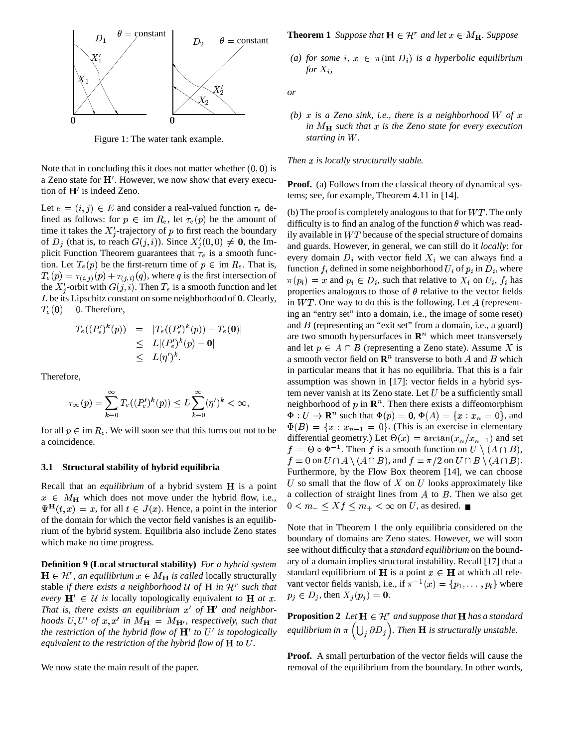

Figure 1: The water tank example.

Note that in concluding this it does not matter whether  $(0,0)$  is a Zeno state for  $H'$ . However, we now show that every execution of  $H'$  is indeed Zeno.

Let  $e = (i, j) \in E$  and consider a real-valued function  $\tau_e$  defined as follows: for  $p \in \text{im } R_e$ , let  $\tau_e(p)$  be the amount of time it takes the  $X'_i$ -trajectory of p to first reach the boundary of  $D_j$  (that is, to reach  $G(j, i)$ ). Since  $X'_i(0, 0) \neq \mathbf{0}$ , the Implicit Function Theorem guarantees that  $\tau_e$  is a smooth function. Let  $T_e(p)$  be the first-return time of  $p \in \text{im } R_e$ . That is,  $T_e(p) = \tau_{(i,i)}(p) + \tau_{(i,i)}(q)$ , where q is the first intersection of the  $X'_i$ -orbit with  $G(j, i)$ . Then  $T_e$  is a smooth function and let  $L$  be its Lipschitz constant on some neighborhood of  $0$ . Clearly,  $T_e(0) = 0$ . Therefore,

$$
T_e((P'_e)^k(p)) = |T_e((P'_e)^k(p)) - T_e(0)|
$$
  
\n
$$
\leq L|(P'_e)^k(p) - 0|
$$
  
\n
$$
\leq L(\eta')^k.
$$

Therefore,

$$
\tau_{\infty}(p) = \sum_{k=0}^{\infty} T_e((P'_e)^k(p)) \le L \sum_{k=0}^{\infty} (\eta')^k < \infty,
$$

for all  $p \in \text{im } R_e$ . We will soon see that this turns out not to be a coincidence.

## **3.1 Structural stability of hybrid equilibria**

Recall that an *equilibrium* of a hybrid system **H** is a point  $\mathcal{C}$  so  $x \in M_{\mathbf{H}}$  which does not move under the hybrid flow, i.e.,  $\Psi^{\text{H}}(t, x) = x$ , for all  $t \in J(x)$ . Hence, a point in the interior of the domain for which the vector field vanishes is an equilibrium of the hybrid system. Equilibria also include Zeno states which make no time progress.

**Definition 9 (Local structural stability)** *For a hybrid system*  $\mathbf{H} \in \mathcal{H}^r$ , an equilibrium  $x \in M_\mathbf{H}$  is called locally structurally stable *if there exists a neighborhood*  $U$  *of*  $H$  *in*  $H^r$  *such that* van *every*  $\mathbf{H}' \in \mathcal{U}$  *is* locally topologically equivalent *to That is, there exists an equilibrium*  $x'$  *of*  $H'$  *and neighbor-* $\int$ *hoods*  $U, U'$  *of*  $x, x'$  *in*  $M_{\mathbf{H}} = M_{\mathbf{H'}}$ , *respectively, such that the restriction of the hybrid flow of*  $H'$  *to*  $U'$  *is topologically* equivalent to the restriction of the hybrid flow of  $\bf H$  to  $U$ .

We now state the main result of the paper.

**Theorem 1** *Suppose that*  $\mathbf{H} \in \mathcal{H}^r$  *and let*  $x \in M_{\mathbf{H}}$ *. Suppose* 

(a) for some *i*,  $x \in \pi(\text{int } D_i)$  *is a hyperbolic equilibrium for*  $X_i$ ,

*or*

*(b)*  $x$  *is*  $a$  *Zeno sink, i.e., there is*  $a$  *neighborhood*  $W$  *of*  $x$ *in such that* ^ *is the Zeno state for every execution starting in* W.

#### *Then*  $x$  *is locally structurally stable.*

**Proof.** (a) Follows from the classical theory of dynamical systems; see, for example, Theorem 4.11 in [14].

 $< \infty$ , neighborhood of p in  $\mathbb{R}^n$ . Then there exists a diffeomorphism (b) The proof is completely analogous to that for  $WT$ . The only difficulty is to find an analog of the function  $\theta$  which was readily available in  $WT$  because of the special structure of domains and guards. However, in general, we can still do it *locally*: for every domain  $D_i$  with vector field  $X_i$  we can always find a function  $f_i$  defined in some neighborhood  $U_i$  of  $p_i$  in  $D_i$ , where  $\pi(p_i) = x$  and  $p_i \in D_i$ , such that relative to  $X_i$  on  $U_i$ ,  $f_i$  has properties analogous to those of  $\theta$  relative to the vector fields in  $WT$ . One way to do this is the following. Let  $A$  (representing an "entry set" into a domain, i.e., the image of some reset) and  $B$  (representing an "exit set" from a domain, i.e., a guard) are two smooth hypersurfaces in  $\mathbb{R}^n$  which meet transversely and let  $p \in A \cap B$  (representing a Zeno state). Assume X is a smooth vector field on  $\mathbb{R}^n$  transverse to both A and B which in particular means that it has no equilibria. That this is a fair assumption was shown in [17]: vector fields in a hybrid system never vanish at its Zeno state. Let  $U$  be a sufficiently small  $\Phi: U \to \mathbf{R}^n$  such that  $\Phi(p) = \mathbf{0}, \Phi(A) = \{x : x_n = 0\}$ , and  $\Phi(B) = \{x : x_{n-1} = 0\}$ . (This is an exercise in elementary differential geometry.) Let  $\Theta(x) = \arctan(x_n/x_{n-1})$  and set  $f = \Theta \circ \Phi^{-1}$ . Then f is a smooth function on  $U \setminus (A \cap B)$ ,  $f = 0$  on  $U \cap A \setminus (A \cap B)$ , and  $f = \pi/2$  on  $U \cap B \setminus (A \cap B)$ . Furthermore, by the Flow Box theorem [14], we can choose U so small that the flow of  $X$  on  $U$  looks approximately like a collection of straight lines from  $A$  to  $B$ . Then we also get  $0 < m_- \leq Xf \leq m_+ < \infty$  on U, as desired.

 $\begin{aligned} at \ x. \quad p_j \in D_j, \text{ then } X_j(p_j) = 0. \end{aligned}$ Note that in Theorem 1 the only equilibria considered on the boundary of domains are Zeno states. However, we will soon see without difficulty that a *standard equilibrium* on the boundary of a domain implies structural instability. Recall [17] that a standard equilibrium of **H** is a point  $x \in$  **H** at which all relevant vector fields vanish, i.e., if  $\pi^{-1}(x) = \{p_1, \ldots, p_l\}$  where

> **Proposition 2** Let  $\mathbf{H} \in \mathcal{H}^r$  and suppose that  $\mathbf{H}$  has a standard *equilibrium in*  $\pi$  ( $\bigcup_i \partial D_j$ ). Then **H** is structurally unstable.

**Proof.** A small perturbation of the vector fields will cause the removal of the equilibrium from the boundary. In other words,